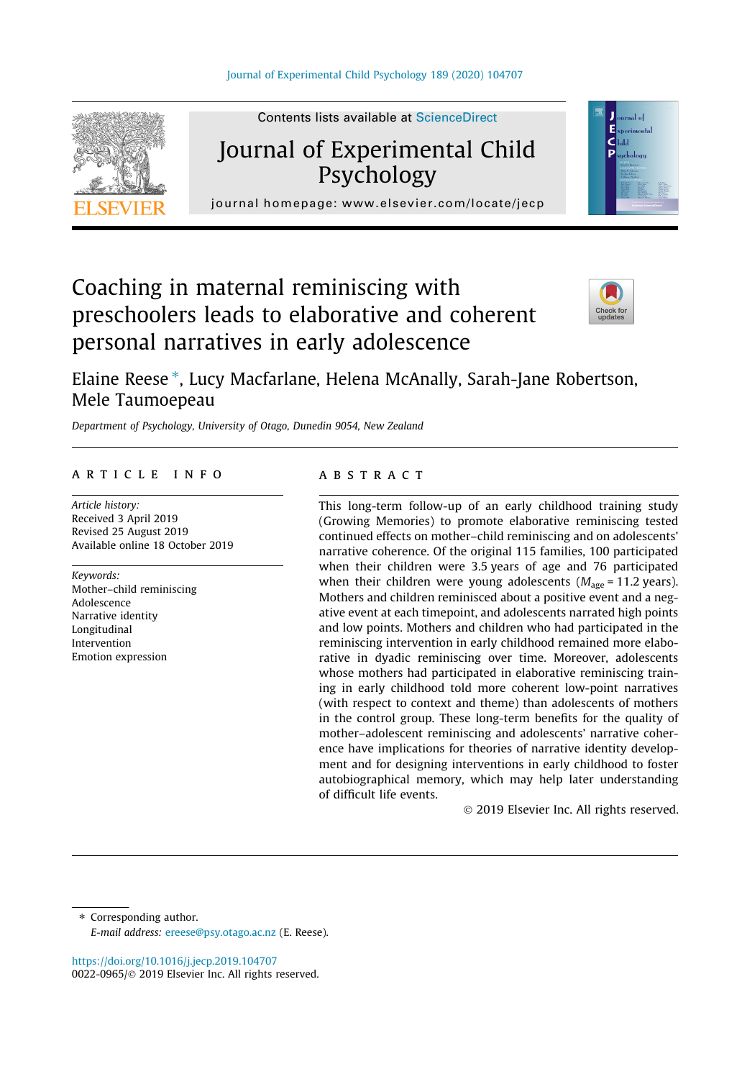

Contents lists available at ScienceDirect

# Journal of Experimental Child Psychology

journal homepage: [www.elsevier.com/locate/jecp](http://www.elsevier.com/locate/jecp)/ $j$ 

# Coaching in maternal reminiscing with preschoolers leads to elaborative and coherent personal narratives in early adolescence



аú

Elaine Reese \*, Lucy Macfarlane, Helena McAnally, Sarah-Jane Robertson, Mele Taumoepeau

Department of Psychology, University of Otago, Dunedin 9054, New Zealand

# article info

Article history: Received 3 April 2019 Revised 25 August 2019 Available online 18 October 2019

Keywords: Mother–child reminiscing Adolescence Narrative identity Longitudinal Intervention Emotion expression

# **ABSTRACT**

This long-term follow-up of an early childhood training study (Growing Memories) to promote elaborative reminiscing tested continued effects on mother–child reminiscing and on adolescents' narrative coherence. Of the original 115 families, 100 participated when their children were 3.5 years of age and 76 participated when their children were young adolescents ( $M_{\text{age}}$  = 11.2 years). Mothers and children reminisced about a positive event and a negative event at each timepoint, and adolescents narrated high points and low points. Mothers and children who had participated in the reminiscing intervention in early childhood remained more elaborative in dyadic reminiscing over time. Moreover, adolescents whose mothers had participated in elaborative reminiscing training in early childhood told more coherent low-point narratives (with respect to context and theme) than adolescents of mothers in the control group. These long-term benefits for the quality of mother–adolescent reminiscing and adolescents' narrative coherence have implications for theories of narrative identity development and for designing interventions in early childhood to foster autobiographical memory, which may help later understanding of difficult life events.

2019 Elsevier Inc. All rights reserved.

⇑ Corresponding author. E-mail address: [ereese@psy.otago.ac.nz](mailto:ereese@psy.otago.ac.nz) (E. Reese).

<https://doi.org/10.1016/j.jecp.2019.104707> 0022-0965/© 2019 Elsevier Inc. All rights reserved.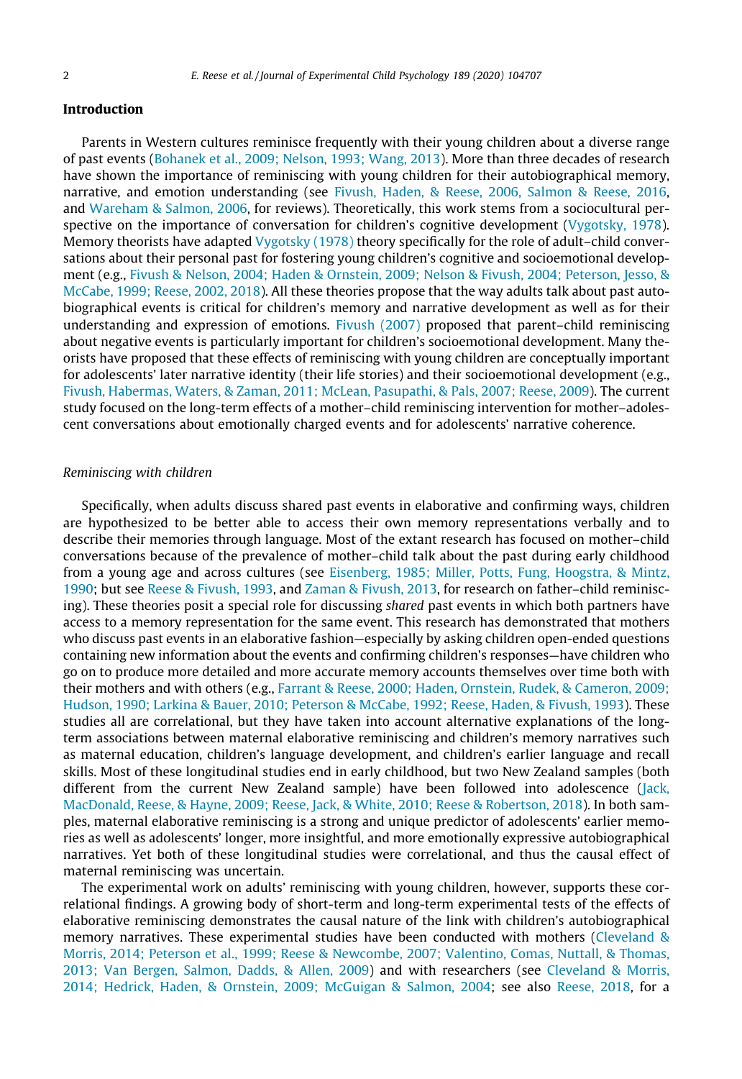## Introduction

Parents in Western cultures reminisce frequently with their young children about a diverse range of past events [\(Bohanek et al., 2009; Nelson, 1993; Wang, 2013\)](#page-15-0). More than three decades of research have shown the importance of reminiscing with young children for their autobiographical memory, narrative, and emotion understanding (see [Fivush, Haden, & Reese, 2006, Salmon & Reese, 2016](#page-16-0), and [Wareham & Salmon, 2006,](#page-17-0) for reviews). Theoretically, this work stems from a sociocultural per-spective on the importance of conversation for children's cognitive development ([Vygotsky, 1978](#page-17-0)). Memory theorists have adapted [Vygotsky \(1978\)](#page-17-0) theory specifically for the role of adult-child conversations about their personal past for fostering young children's cognitive and socioemotional development (e.g., [Fivush & Nelson, 2004; Haden & Ornstein, 2009; Nelson & Fivush, 2004; Peterson, Jesso, &](#page-16-0) [McCabe, 1999; Reese, 2002, 2018](#page-16-0)). All these theories propose that the way adults talk about past autobiographical events is critical for children's memory and narrative development as well as for their understanding and expression of emotions. [Fivush \(2007\)](#page-16-0) proposed that parent–child reminiscing about negative events is particularly important for children's socioemotional development. Many theorists have proposed that these effects of reminiscing with young children are conceptually important for adolescents' later narrative identity (their life stories) and their socioemotional development (e.g., [Fivush, Habermas, Waters, & Zaman, 2011; McLean, Pasupathi, & Pals, 2007; Reese, 2009\)](#page-16-0). The current study focused on the long-term effects of a mother–child reminiscing intervention for mother–adolescent conversations about emotionally charged events and for adolescents' narrative coherence.

## Reminiscing with children

Specifically, when adults discuss shared past events in elaborative and confirming ways, children are hypothesized to be better able to access their own memory representations verbally and to describe their memories through language. Most of the extant research has focused on mother–child conversations because of the prevalence of mother–child talk about the past during early childhood from a young age and across cultures (see [Eisenberg, 1985; Miller, Potts, Fung, Hoogstra, & Mintz,](#page-16-0) [1990;](#page-16-0) but see [Reese & Fivush, 1993](#page-17-0), and [Zaman & Fivush, 2013,](#page-17-0) for research on father–child reminiscing). These theories posit a special role for discussing shared past events in which both partners have access to a memory representation for the same event. This research has demonstrated that mothers who discuss past events in an elaborative fashion—especially by asking children open-ended questions containing new information about the events and confirming children's responses—have children who go on to produce more detailed and more accurate memory accounts themselves over time both with their mothers and with others (e.g., [Farrant & Reese, 2000; Haden, Ornstein, Rudek, & Cameron, 2009;](#page-16-0) [Hudson, 1990; Larkina & Bauer, 2010; Peterson & McCabe, 1992; Reese, Haden, & Fivush, 1993\)](#page-16-0). These studies all are correlational, but they have taken into account alternative explanations of the longterm associations between maternal elaborative reminiscing and children's memory narratives such as maternal education, children's language development, and children's earlier language and recall skills. Most of these longitudinal studies end in early childhood, but two New Zealand samples (both different from the current New Zealand sample) have been followed into adolescence [\(Jack,](#page-16-0) [MacDonald, Reese, & Hayne, 2009; Reese, Jack, & White, 2010; Reese & Robertson, 2018\)](#page-16-0). In both samples, maternal elaborative reminiscing is a strong and unique predictor of adolescents' earlier memories as well as adolescents' longer, more insightful, and more emotionally expressive autobiographical narratives. Yet both of these longitudinal studies were correlational, and thus the causal effect of maternal reminiscing was uncertain.

The experimental work on adults' reminiscing with young children, however, supports these correlational findings. A growing body of short-term and long-term experimental tests of the effects of elaborative reminiscing demonstrates the causal nature of the link with children's autobiographical memory narratives. These experimental studies have been conducted with mothers ([Cleveland &](#page-15-0) [Morris, 2014; Peterson et al., 1999; Reese & Newcombe, 2007; Valentino, Comas, Nuttall, & Thomas,](#page-15-0) [2013; Van Bergen, Salmon, Dadds, & Allen, 2009\)](#page-15-0) and with researchers (see [Cleveland & Morris,](#page-15-0) [2014; Hedrick, Haden, & Ornstein, 2009; McGuigan & Salmon, 2004;](#page-15-0) see also [Reese, 2018,](#page-17-0) for a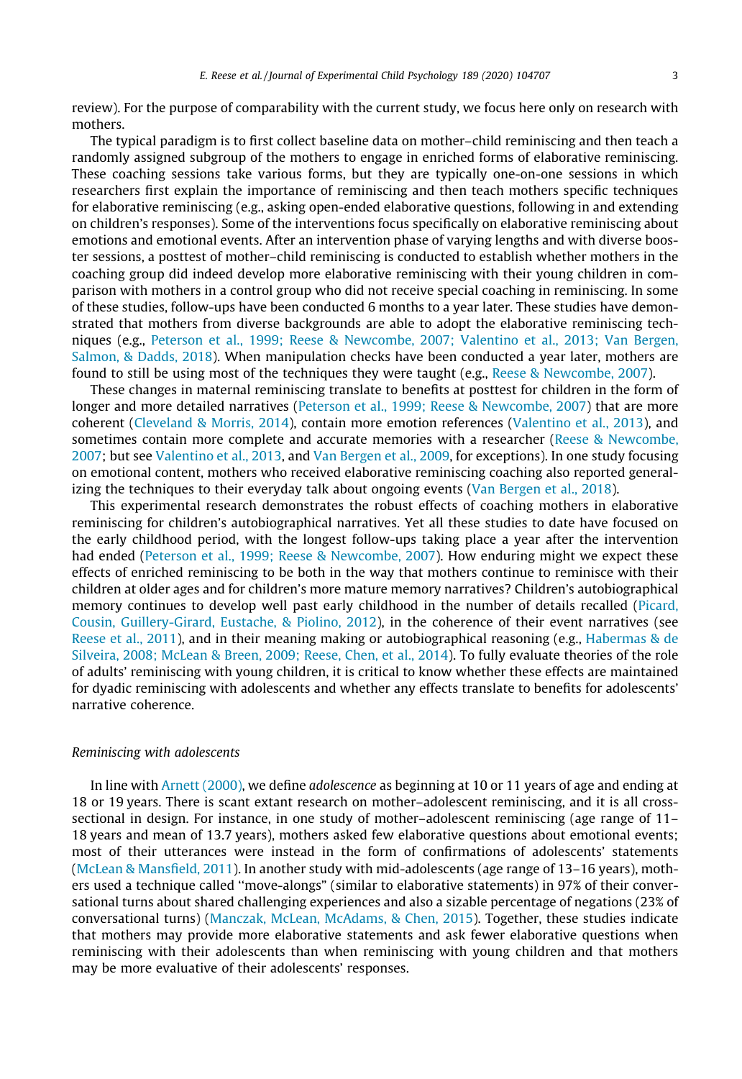review). For the purpose of comparability with the current study, we focus here only on research with mothers.

The typical paradigm is to first collect baseline data on mother–child reminiscing and then teach a randomly assigned subgroup of the mothers to engage in enriched forms of elaborative reminiscing. These coaching sessions take various forms, but they are typically one-on-one sessions in which researchers first explain the importance of reminiscing and then teach mothers specific techniques for elaborative reminiscing (e.g., asking open-ended elaborative questions, following in and extending on children's responses). Some of the interventions focus specifically on elaborative reminiscing about emotions and emotional events. After an intervention phase of varying lengths and with diverse booster sessions, a posttest of mother–child reminiscing is conducted to establish whether mothers in the coaching group did indeed develop more elaborative reminiscing with their young children in comparison with mothers in a control group who did not receive special coaching in reminiscing. In some of these studies, follow-ups have been conducted 6 months to a year later. These studies have demonstrated that mothers from diverse backgrounds are able to adopt the elaborative reminiscing techniques (e.g., [Peterson et al., 1999; Reese & Newcombe, 2007; Valentino et al., 2013; Van Bergen,](#page-16-0) [Salmon, & Dadds, 2018](#page-16-0)). When manipulation checks have been conducted a year later, mothers are found to still be using most of the techniques they were taught (e.g., [Reese & Newcombe, 2007\)](#page-17-0).

These changes in maternal reminiscing translate to benefits at posttest for children in the form of longer and more detailed narratives [\(Peterson et al., 1999; Reese & Newcombe, 2007\)](#page-16-0) that are more coherent ([Cleveland & Morris, 2014](#page-15-0)), contain more emotion references ([Valentino et al., 2013\)](#page-17-0), and sometimes contain more complete and accurate memories with a researcher ([Reese & Newcombe,](#page-17-0) [2007](#page-17-0); but see [Valentino et al., 2013,](#page-17-0) and [Van Bergen et al., 2009,](#page-17-0) for exceptions). In one study focusing on emotional content, mothers who received elaborative reminiscing coaching also reported generalizing the techniques to their everyday talk about ongoing events ([Van Bergen et al., 2018\)](#page-17-0).

This experimental research demonstrates the robust effects of coaching mothers in elaborative reminiscing for children's autobiographical narratives. Yet all these studies to date have focused on the early childhood period, with the longest follow-ups taking place a year after the intervention had ended ([Peterson et al., 1999; Reese & Newcombe, 2007\)](#page-16-0). How enduring might we expect these effects of enriched reminiscing to be both in the way that mothers continue to reminisce with their children at older ages and for children's more mature memory narratives? Children's autobiographical memory continues to develop well past early childhood in the number of details recalled ([Picard,](#page-17-0) [Cousin, Guillery-Girard, Eustache, & Piolino, 2012\)](#page-17-0), in the coherence of their event narratives (see [Reese et al., 2011\)](#page-17-0), and in their meaning making or autobiographical reasoning (e.g., [Habermas & de](#page-16-0) [Silveira, 2008; McLean & Breen, 2009; Reese, Chen, et al., 2014\)](#page-16-0). To fully evaluate theories of the role of adults' reminiscing with young children, it is critical to know whether these effects are maintained for dyadic reminiscing with adolescents and whether any effects translate to benefits for adolescents' narrative coherence.

## Reminiscing with adolescents

In line with [Arnett \(2000\),](#page-15-0) we define adolescence as beginning at 10 or 11 years of age and ending at 18 or 19 years. There is scant extant research on mother–adolescent reminiscing, and it is all crosssectional in design. For instance, in one study of mother–adolescent reminiscing (age range of 11– 18 years and mean of 13.7 years), mothers asked few elaborative questions about emotional events; most of their utterances were instead in the form of confirmations of adolescents' statements [\(McLean & Mansfield, 2011](#page-16-0)). In another study with mid-adolescents (age range of 13–16 years), mothers used a technique called ''move-alongs" (similar to elaborative statements) in 97% of their conversational turns about shared challenging experiences and also a sizable percentage of negations (23% of conversational turns) [\(Manczak, McLean, McAdams, & Chen, 2015](#page-16-0)). Together, these studies indicate that mothers may provide more elaborative statements and ask fewer elaborative questions when reminiscing with their adolescents than when reminiscing with young children and that mothers may be more evaluative of their adolescents' responses.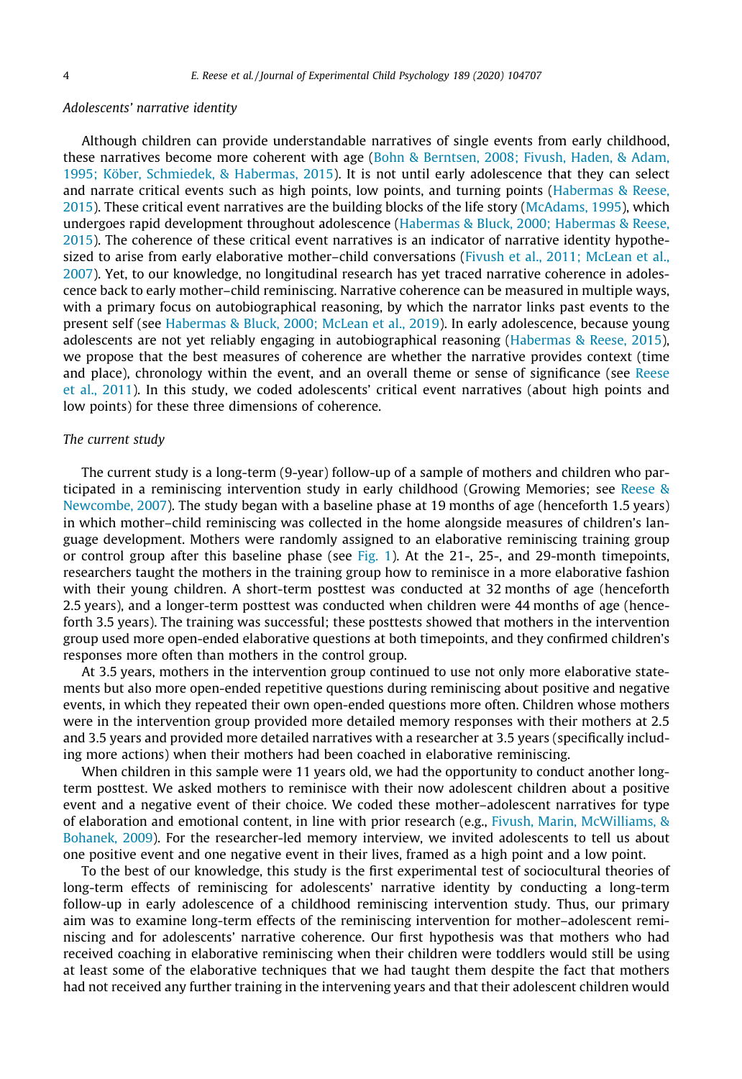## Adolescents' narrative identity

Although children can provide understandable narratives of single events from early childhood, these narratives become more coherent with age ([Bohn & Berntsen, 2008; Fivush, Haden, & Adam,](#page-15-0) [1995; Köber, Schmiedek, & Habermas, 2015](#page-15-0)). It is not until early adolescence that they can select and narrate critical events such as high points, low points, and turning points ([Habermas & Reese,](#page-16-0) [2015\)](#page-16-0). These critical event narratives are the building blocks of the life story ([McAdams, 1995](#page-16-0)), which undergoes rapid development throughout adolescence ([Habermas & Bluck, 2000; Habermas & Reese,](#page-16-0) [2015\)](#page-16-0). The coherence of these critical event narratives is an indicator of narrative identity hypothe-sized to arise from early elaborative mother-child conversations ([Fivush et al., 2011; McLean et al.,](#page-16-0) [2007\)](#page-16-0). Yet, to our knowledge, no longitudinal research has yet traced narrative coherence in adolescence back to early mother–child reminiscing. Narrative coherence can be measured in multiple ways, with a primary focus on autobiographical reasoning, by which the narrator links past events to the present self (see [Habermas & Bluck, 2000; McLean et al., 2019](#page-16-0)). In early adolescence, because young adolescents are not yet reliably engaging in autobiographical reasoning ([Habermas & Reese, 2015\)](#page-16-0), we propose that the best measures of coherence are whether the narrative provides context (time and place), chronology within the event, and an overall theme or sense of significance (see [Reese](#page-17-0) [et al., 2011\)](#page-17-0). In this study, we coded adolescents' critical event narratives (about high points and low points) for these three dimensions of coherence.

## The current study

The current study is a long-term (9-year) follow-up of a sample of mothers and children who participated in a reminiscing intervention study in early childhood (Growing Memories; see [Reese &](#page-17-0) [Newcombe, 2007](#page-17-0)). The study began with a baseline phase at 19 months of age (henceforth 1.5 years) in which mother–child reminiscing was collected in the home alongside measures of children's language development. Mothers were randomly assigned to an elaborative reminiscing training group or control group after this baseline phase (see [Fig. 1](#page-4-0)). At the 21-, 25-, and 29-month timepoints, researchers taught the mothers in the training group how to reminisce in a more elaborative fashion with their young children. A short-term posttest was conducted at 32 months of age (henceforth 2.5 years), and a longer-term posttest was conducted when children were 44 months of age (henceforth 3.5 years). The training was successful; these posttests showed that mothers in the intervention group used more open-ended elaborative questions at both timepoints, and they confirmed children's responses more often than mothers in the control group.

At 3.5 years, mothers in the intervention group continued to use not only more elaborative statements but also more open-ended repetitive questions during reminiscing about positive and negative events, in which they repeated their own open-ended questions more often. Children whose mothers were in the intervention group provided more detailed memory responses with their mothers at 2.5 and 3.5 years and provided more detailed narratives with a researcher at 3.5 years (specifically including more actions) when their mothers had been coached in elaborative reminiscing.

When children in this sample were 11 years old, we had the opportunity to conduct another longterm posttest. We asked mothers to reminisce with their now adolescent children about a positive event and a negative event of their choice. We coded these mother–adolescent narratives for type of elaboration and emotional content, in line with prior research (e.g., [Fivush, Marin, McWilliams, &](#page-16-0) [Bohanek, 2009](#page-16-0)). For the researcher-led memory interview, we invited adolescents to tell us about one positive event and one negative event in their lives, framed as a high point and a low point.

To the best of our knowledge, this study is the first experimental test of sociocultural theories of long-term effects of reminiscing for adolescents' narrative identity by conducting a long-term follow-up in early adolescence of a childhood reminiscing intervention study. Thus, our primary aim was to examine long-term effects of the reminiscing intervention for mother–adolescent reminiscing and for adolescents' narrative coherence. Our first hypothesis was that mothers who had received coaching in elaborative reminiscing when their children were toddlers would still be using at least some of the elaborative techniques that we had taught them despite the fact that mothers had not received any further training in the intervening years and that their adolescent children would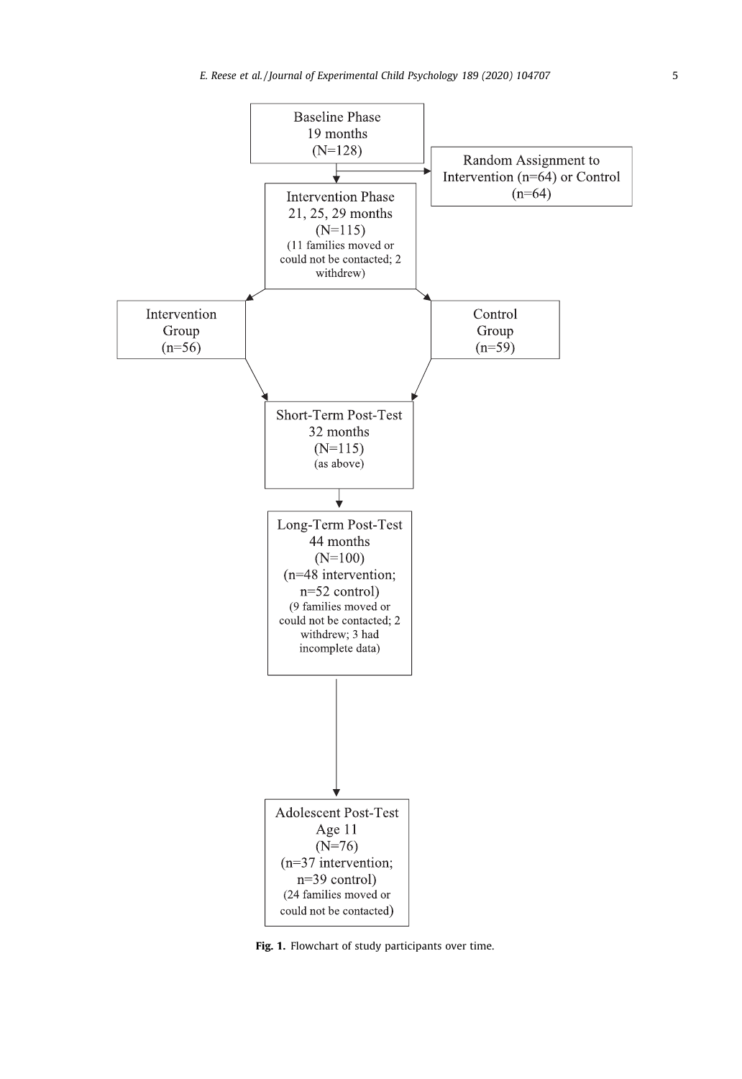<span id="page-4-0"></span>

Fig. 1. Flowchart of study participants over time.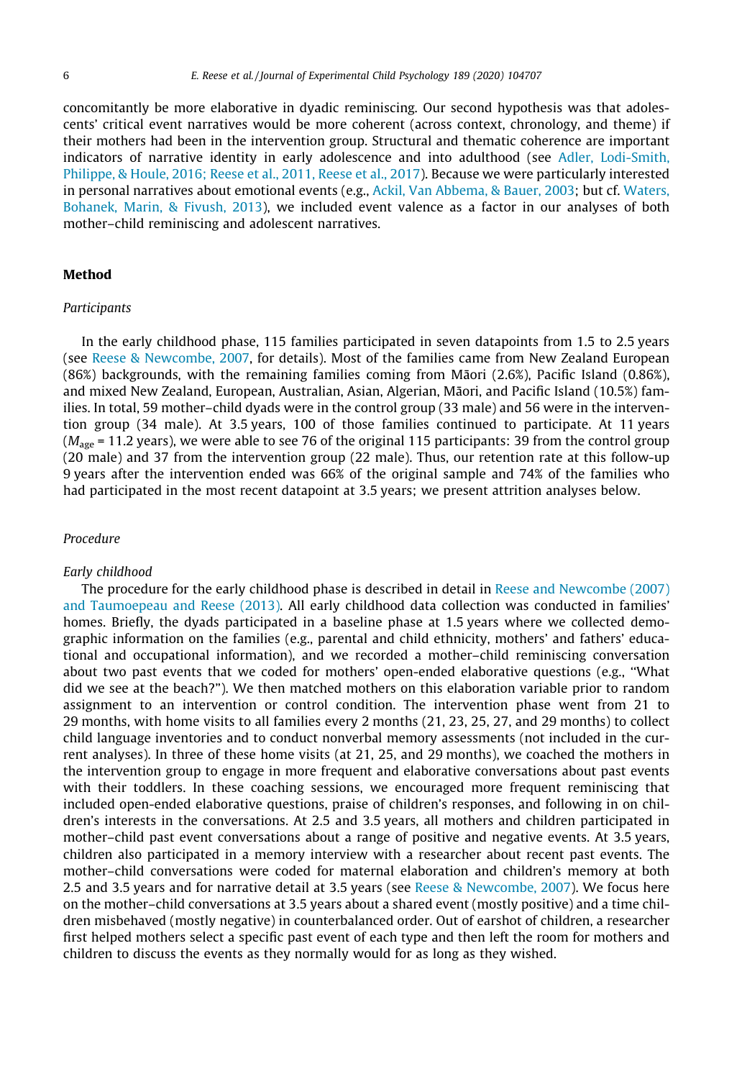concomitantly be more elaborative in dyadic reminiscing. Our second hypothesis was that adolescents' critical event narratives would be more coherent (across context, chronology, and theme) if their mothers had been in the intervention group. Structural and thematic coherence are important indicators of narrative identity in early adolescence and into adulthood (see [Adler, Lodi-Smith,](#page-15-0) [Philippe, & Houle, 2016; Reese et al., 2011, Reese et al., 2017](#page-15-0)). Because we were particularly interested in personal narratives about emotional events (e.g., [Ackil, Van Abbema, & Bauer, 2003](#page-15-0); but cf. [Waters,](#page-17-0) [Bohanek, Marin, & Fivush, 2013\)](#page-17-0), we included event valence as a factor in our analyses of both mother–child reminiscing and adolescent narratives.

# Method

## **Participants**

In the early childhood phase, 115 families participated in seven datapoints from 1.5 to 2.5 years (see [Reese & Newcombe, 2007](#page-17-0), for details). Most of the families came from New Zealand European  $(86%)$  backgrounds, with the remaining families coming from Māori  $(2.6%)$ , Pacific Island  $(0.86%)$ , and mixed New Zealand, European, Australian, Asian, Algerian, Māori, and Pacific Island (10.5%) families. In total, 59 mother–child dyads were in the control group (33 male) and 56 were in the intervention group (34 male). At 3.5 years, 100 of those families continued to participate. At 11 years  $(M<sub>app</sub> = 11.2$  years), we were able to see 76 of the original 115 participants: 39 from the control group (20 male) and 37 from the intervention group (22 male). Thus, our retention rate at this follow-up 9 years after the intervention ended was 66% of the original sample and 74% of the families who had participated in the most recent datapoint at 3.5 years; we present attrition analyses below.

## Procedure

## Early childhood

The procedure for the early childhood phase is described in detail in [Reese and Newcombe \(2007\)](#page-17-0) [and Taumoepeau and Reese \(2013\).](#page-17-0) All early childhood data collection was conducted in families' homes. Briefly, the dyads participated in a baseline phase at 1.5 years where we collected demographic information on the families (e.g., parental and child ethnicity, mothers' and fathers' educational and occupational information), and we recorded a mother–child reminiscing conversation about two past events that we coded for mothers' open-ended elaborative questions (e.g., ''What did we see at the beach?"). We then matched mothers on this elaboration variable prior to random assignment to an intervention or control condition. The intervention phase went from 21 to 29 months, with home visits to all families every 2 months (21, 23, 25, 27, and 29 months) to collect child language inventories and to conduct nonverbal memory assessments (not included in the current analyses). In three of these home visits (at 21, 25, and 29 months), we coached the mothers in the intervention group to engage in more frequent and elaborative conversations about past events with their toddlers. In these coaching sessions, we encouraged more frequent reminiscing that included open-ended elaborative questions, praise of children's responses, and following in on children's interests in the conversations. At 2.5 and 3.5 years, all mothers and children participated in mother–child past event conversations about a range of positive and negative events. At 3.5 years, children also participated in a memory interview with a researcher about recent past events. The mother–child conversations were coded for maternal elaboration and children's memory at both 2.5 and 3.5 years and for narrative detail at 3.5 years (see [Reese & Newcombe, 2007](#page-17-0)). We focus here on the mother–child conversations at 3.5 years about a shared event (mostly positive) and a time children misbehaved (mostly negative) in counterbalanced order. Out of earshot of children, a researcher first helped mothers select a specific past event of each type and then left the room for mothers and children to discuss the events as they normally would for as long as they wished.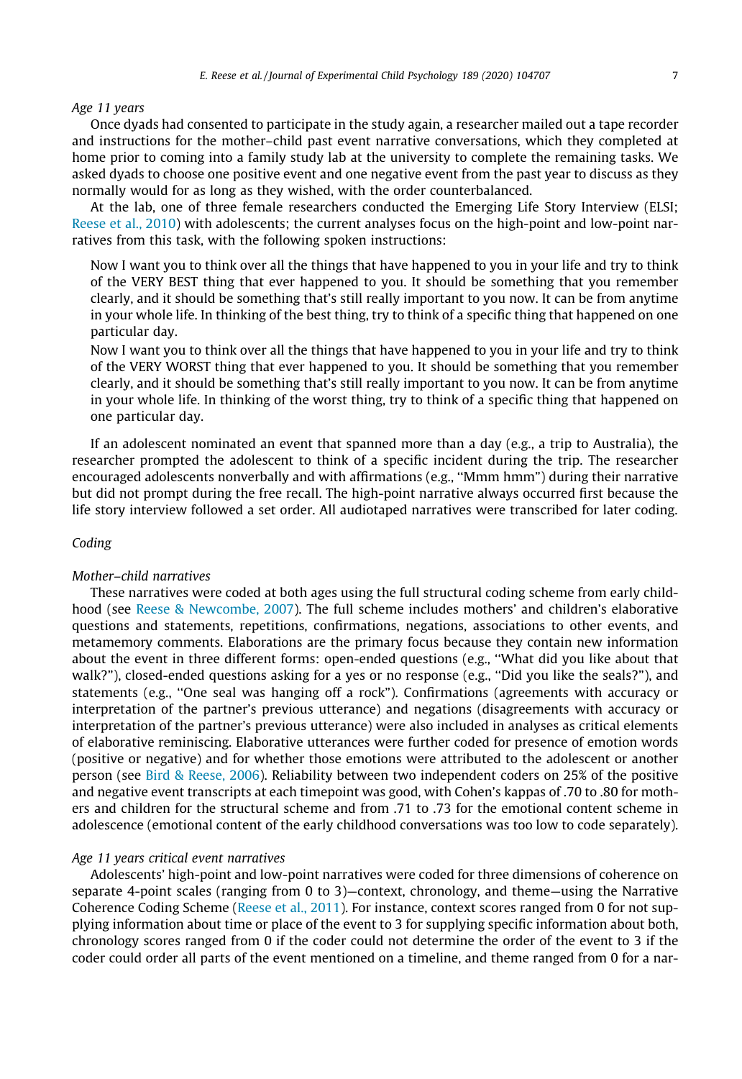# Age 11 years

Once dyads had consented to participate in the study again, a researcher mailed out a tape recorder and instructions for the mother–child past event narrative conversations, which they completed at home prior to coming into a family study lab at the university to complete the remaining tasks. We asked dyads to choose one positive event and one negative event from the past year to discuss as they normally would for as long as they wished, with the order counterbalanced.

At the lab, one of three female researchers conducted the Emerging Life Story Interview (ELSI; [Reese et al., 2010\)](#page-17-0) with adolescents; the current analyses focus on the high-point and low-point narratives from this task, with the following spoken instructions:

Now I want you to think over all the things that have happened to you in your life and try to think of the VERY BEST thing that ever happened to you. It should be something that you remember clearly, and it should be something that's still really important to you now. It can be from anytime in your whole life. In thinking of the best thing, try to think of a specific thing that happened on one particular day.

Now I want you to think over all the things that have happened to you in your life and try to think of the VERY WORST thing that ever happened to you. It should be something that you remember clearly, and it should be something that's still really important to you now. It can be from anytime in your whole life. In thinking of the worst thing, try to think of a specific thing that happened on one particular day.

If an adolescent nominated an event that spanned more than a day (e.g., a trip to Australia), the researcher prompted the adolescent to think of a specific incident during the trip. The researcher encouraged adolescents nonverbally and with affirmations (e.g., ''Mmm hmm") during their narrative but did not prompt during the free recall. The high-point narrative always occurred first because the life story interview followed a set order. All audiotaped narratives were transcribed for later coding.

# Coding

## Mother–child narratives

These narratives were coded at both ages using the full structural coding scheme from early childhood (see [Reese & Newcombe, 2007](#page-17-0)). The full scheme includes mothers' and children's elaborative questions and statements, repetitions, confirmations, negations, associations to other events, and metamemory comments. Elaborations are the primary focus because they contain new information about the event in three different forms: open-ended questions (e.g., ''What did you like about that walk?"), closed-ended questions asking for a yes or no response (e.g., ''Did you like the seals?"), and statements (e.g., ''One seal was hanging off a rock"). Confirmations (agreements with accuracy or interpretation of the partner's previous utterance) and negations (disagreements with accuracy or interpretation of the partner's previous utterance) were also included in analyses as critical elements of elaborative reminiscing. Elaborative utterances were further coded for presence of emotion words (positive or negative) and for whether those emotions were attributed to the adolescent or another person (see [Bird & Reese, 2006\)](#page-15-0). Reliability between two independent coders on 25% of the positive and negative event transcripts at each timepoint was good, with Cohen's kappas of .70 to .80 for mothers and children for the structural scheme and from .71 to .73 for the emotional content scheme in adolescence (emotional content of the early childhood conversations was too low to code separately).

#### Age 11 years critical event narratives

Adolescents' high-point and low-point narratives were coded for three dimensions of coherence on separate 4-point scales (ranging from 0 to 3)—context, chronology, and theme—using the Narrative Coherence Coding Scheme ([Reese et al., 2011\)](#page-17-0). For instance, context scores ranged from 0 for not supplying information about time or place of the event to 3 for supplying specific information about both, chronology scores ranged from 0 if the coder could not determine the order of the event to 3 if the coder could order all parts of the event mentioned on a timeline, and theme ranged from 0 for a nar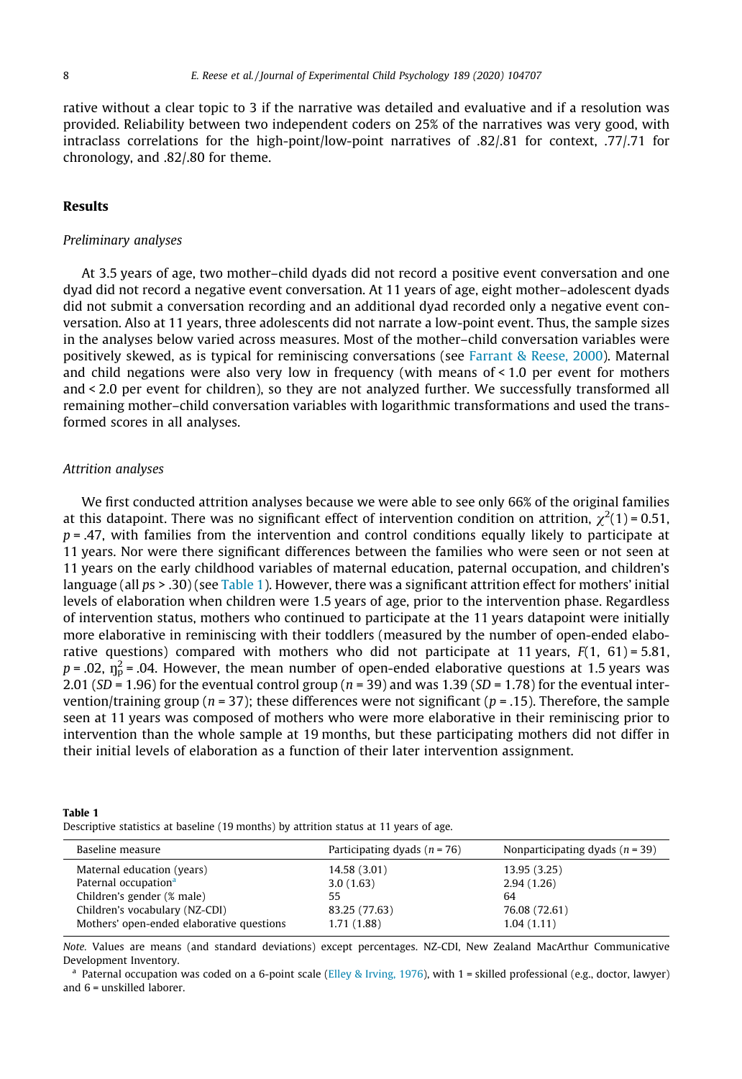rative without a clear topic to 3 if the narrative was detailed and evaluative and if a resolution was provided. Reliability between two independent coders on 25% of the narratives was very good, with intraclass correlations for the high-point/low-point narratives of .82/.81 for context, .77/.71 for chronology, and .82/.80 for theme.

# Results

#### Preliminary analyses

At 3.5 years of age, two mother–child dyads did not record a positive event conversation and one dyad did not record a negative event conversation. At 11 years of age, eight mother–adolescent dyads did not submit a conversation recording and an additional dyad recorded only a negative event conversation. Also at 11 years, three adolescents did not narrate a low-point event. Thus, the sample sizes in the analyses below varied across measures. Most of the mother–child conversation variables were positively skewed, as is typical for reminiscing conversations (see [Farrant & Reese, 2000](#page-16-0)). Maternal and child negations were also very low in frequency (with means of < 1.0 per event for mothers and < 2.0 per event for children), so they are not analyzed further. We successfully transformed all remaining mother–child conversation variables with logarithmic transformations and used the transformed scores in all analyses.

## Attrition analyses

We first conducted attrition analyses because we were able to see only 66% of the original families at this datapoint. There was no significant effect of intervention condition on attrition,  $\chi^2(1)$  = 0.51,  $p = .47$ , with families from the intervention and control conditions equally likely to participate at 11 years. Nor were there significant differences between the families who were seen or not seen at 11 years on the early childhood variables of maternal education, paternal occupation, and children's language (all  $ps > .30$ ) (see Table 1). However, there was a significant attrition effect for mothers' initial levels of elaboration when children were 1.5 years of age, prior to the intervention phase. Regardless of intervention status, mothers who continued to participate at the 11 years datapoint were initially more elaborative in reminiscing with their toddlers (measured by the number of open-ended elaborative questions) compared with mothers who did not participate at 11 years,  $F(1, 61) = 5.81$ , p = .02,  $\eta_{\rm p}^2$  = .04. However, the mean number of open-ended elaborative questions at 1.5 years was 2.01 (SD = 1.96) for the eventual control group ( $n = 39$ ) and was 1.39 (SD = 1.78) for the eventual intervention/training group ( $n = 37$ ); these differences were not significant ( $p = .15$ ). Therefore, the sample seen at 11 years was composed of mothers who were more elaborative in their reminiscing prior to intervention than the whole sample at 19 months, but these participating mothers did not differ in their initial levels of elaboration as a function of their later intervention assignment.

| Table 1                                                                                |  |  |  |
|----------------------------------------------------------------------------------------|--|--|--|
| Descriptive statistics at baseline (19 months) by attrition status at 11 years of age. |  |  |  |

| Participating dyads $(n = 76)$ | Nonparticipating dyads $(n = 39)$ |
|--------------------------------|-----------------------------------|
| 14.58 (3.01)                   | 13.95 (3.25)                      |
| 3.0(1.63)                      | 2.94(1.26)                        |
| 55.                            | 64                                |
| 83.25 (77.63)                  | 76.08 (72.61)                     |
| 1.71 (1.88)                    | 1.04(1.11)                        |
|                                |                                   |

Note. Values are means (and standard deviations) except percentages. NZ-CDI, New Zealand MacArthur Communicative Development Inventory.

<sup>a</sup> Paternal occupation was coded on a 6-point scale [\(Elley & Irving, 1976](#page-16-0)), with 1 = skilled professional (e.g., doctor, lawyer) and 6 = unskilled laborer.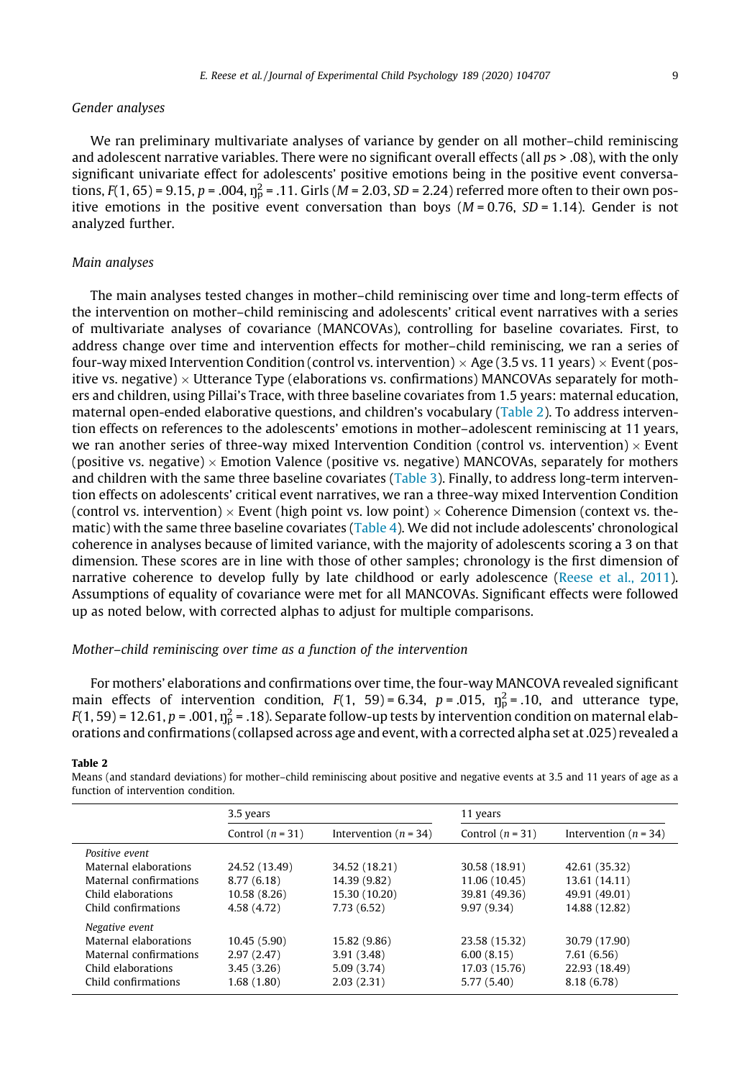# Gender analyses

We ran preliminary multivariate analyses of variance by gender on all mother–child reminiscing and adolescent narrative variables. There were no significant overall effects (all ps > .08), with the only significant univariate effect for adolescents' positive emotions being in the positive event conversations,  $F(1, 65) = 9.15$ ,  $p = .004$ ,  $\eta_p^2 = .11$ . Girls (M = 2.03, SD = 2.24) referred more often to their own positive emotions in the positive event conversation than boys ( $M = 0.76$ ,  $SD = 1.14$ ). Gender is not analyzed further.

## Main analyses

The main analyses tested changes in mother–child reminiscing over time and long-term effects of the intervention on mother–child reminiscing and adolescents' critical event narratives with a series of multivariate analyses of covariance (MANCOVAs), controlling for baseline covariates. First, to address change over time and intervention effects for mother–child reminiscing, we ran a series of four-way mixed Intervention Condition (control vs. intervention)  $\times$  Age (3.5 vs. 11 years)  $\times$  Event (positive vs. negative)  $\times$  Utterance Type (elaborations vs. confirmations) MANCOVAs separately for mothers and children, using Pillai's Trace, with three baseline covariates from 1.5 years: maternal education, maternal open-ended elaborative questions, and children's vocabulary (Table 2). To address intervention effects on references to the adolescents' emotions in mother–adolescent reminiscing at 11 years, we ran another series of three-way mixed Intervention Condition (control vs. intervention)  $\times$  Event (positive vs. negative)  $\times$  Emotion Valence (positive vs. negative) MANCOVAs, separately for mothers and children with the same three baseline covariates ([Table 3\)](#page-9-0). Finally, to address long-term intervention effects on adolescents' critical event narratives, we ran a three-way mixed Intervention Condition (control vs. intervention)  $\times$  Event (high point vs. low point)  $\times$  Coherence Dimension (context vs. thematic) with the same three baseline covariates ([Table 4](#page-9-0)). We did not include adolescents' chronological coherence in analyses because of limited variance, with the majority of adolescents scoring a 3 on that dimension. These scores are in line with those of other samples; chronology is the first dimension of narrative coherence to develop fully by late childhood or early adolescence ([Reese et al., 2011\)](#page-17-0). Assumptions of equality of covariance were met for all MANCOVAs. Significant effects were followed up as noted below, with corrected alphas to adjust for multiple comparisons.

# Mother–child reminiscing over time as a function of the intervention

For mothers' elaborations and confirmations over time, the four-way MANCOVA revealed significant main effects of intervention condition,  $F(1, 59) = 6.34$ ,  $p = .015$ ,  $\eta_p^2 = .10$ , and utterance type, F(1, 59) = 12.61, p = .001,  $\eta_{\rm p}^2$  = .18). Separate follow-up tests by intervention condition on maternal elaborations and confirmations (collapsed across age and event, with a corrected alpha set at .025) revealed a

#### Table 2

Means (and standard deviations) for mother–child reminiscing about positive and negative events at 3.5 and 11 years of age as a function of intervention condition.

|                        | 3.5 years          |                           | 11 years           |                           |
|------------------------|--------------------|---------------------------|--------------------|---------------------------|
|                        | Control $(n = 31)$ | Intervention ( $n = 34$ ) | Control $(n = 31)$ | Intervention ( $n = 34$ ) |
| Positive event         |                    |                           |                    |                           |
| Maternal elaborations  | 24.52 (13.49)      | 34.52 (18.21)             | 30.58 (18.91)      | 42.61 (35.32)             |
| Maternal confirmations | 8.77(6.18)         | 14.39 (9.82)              | 11.06 (10.45)      | 13.61 (14.11)             |
| Child elaborations     | 10.58(8.26)        | 15.30 (10.20)             | 39.81 (49.36)      | 49.91 (49.01)             |
| Child confirmations    | 4.58 (4.72)        | 7.73(6.52)                | 9.97(9.34)         | 14.88 (12.82)             |
| Negative event         |                    |                           |                    |                           |
| Maternal elaborations  | 10.45(5.90)        | 15.82 (9.86)              | 23.58 (15.32)      | 30.79 (17.90)             |
| Maternal confirmations | 2.97(2.47)         | 3.91(3.48)                | 6.00(8.15)         | 7.61 (6.56)               |
| Child elaborations     | 3.45(3.26)         | 5.09(3.74)                | 17.03 (15.76)      | 22.93 (18.49)             |
| Child confirmations    | 1.68 (1.80)        | 2.03(2.31)                | 5.77 (5.40)        | 8.18 (6.78)               |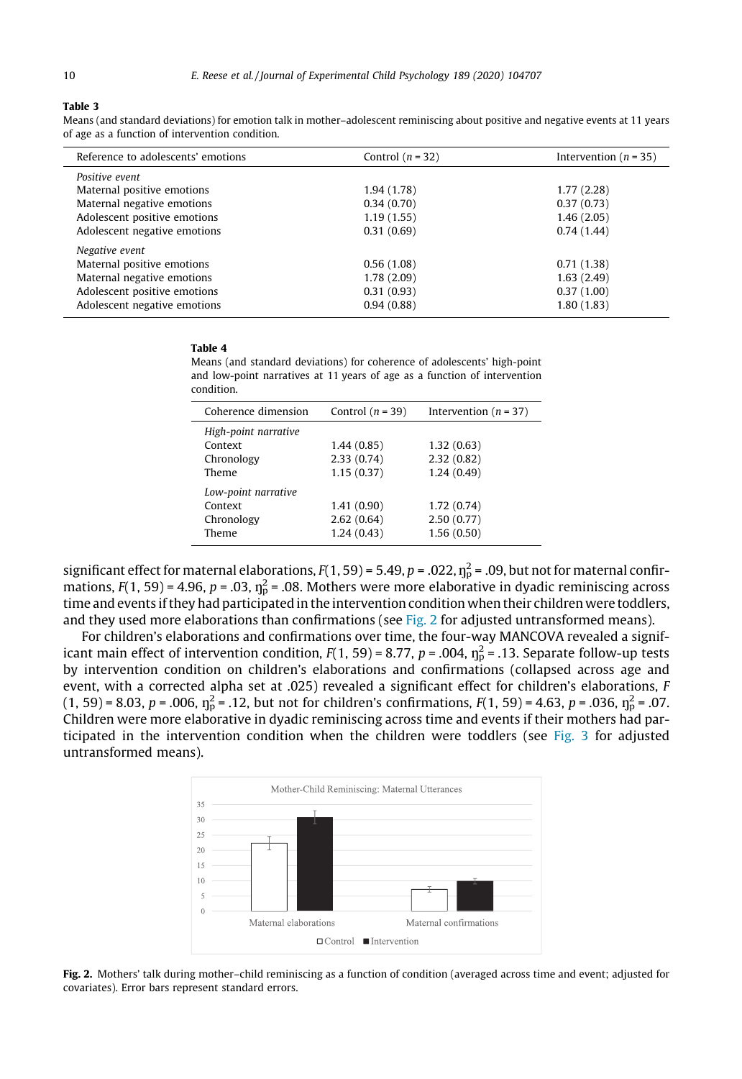### <span id="page-9-0"></span>Table 3

Means (and standard deviations) for emotion talk in mother–adolescent reminiscing about positive and negative events at 11 years of age as a function of intervention condition.

| Reference to adolescents' emotions | Control $(n = 32)$ | Intervention ( $n = 35$ ) |
|------------------------------------|--------------------|---------------------------|
| Positive event                     |                    |                           |
| Maternal positive emotions         | 1.94 (1.78)        | 1.77(2.28)                |
| Maternal negative emotions         | 0.34(0.70)         | 0.37(0.73)                |
| Adolescent positive emotions       | 1.19(1.55)         | 1.46(2.05)                |
| Adolescent negative emotions       | 0.31(0.69)         | 0.74(1.44)                |
| Negative event                     |                    |                           |
| Maternal positive emotions         | 0.56(1.08)         | 0.71(1.38)                |
| Maternal negative emotions         | 1.78(2.09)         | 1.63(2.49)                |
| Adolescent positive emotions       | 0.31(0.93)         | 0.37(1.00)                |
| Adolescent negative emotions       | 0.94(0.88)         | 1.80(1.83)                |

#### Table 4

Means (and standard deviations) for coherence of adolescents' high-point and low-point narratives at 11 years of age as a function of intervention condition.

| Coherence dimension                                    | Control $(n = 39)$                     | Intervention ( $n = 37$ )              |
|--------------------------------------------------------|----------------------------------------|----------------------------------------|
| High-point narrative<br>Context<br>Chronology<br>Theme | 1.44(0.85)<br>2.33(0.74)<br>1.15(0.37) | 1.32(0.63)<br>2.32(0.82)<br>1.24(0.49) |
| Low-point narrative<br>Context<br>Chronology<br>Theme  | 1.41(0.90)<br>2.62(0.64)<br>1.24(0.43) | 1.72(0.74)<br>2.50(0.77)<br>1.56(0.50) |

significant effect for maternal elaborations, F(1, 59) = 5.49, p = .022,  $\eta_{\rm p}^2$  = .09, but not for maternal confirmations,  $F(1, 59)$  = 4.96, p = .03,  $\eta_{\rm p}^2$  = .08. Mothers were more elaborative in dyadic reminiscing across time and events if they had participated in the intervention condition when their children were toddlers, and they used more elaborations than confirmations (see Fig. 2 for adjusted untransformed means).

For children's elaborations and confirmations over time, the four-way MANCOVA revealed a significant main effect of intervention condition,  $F(1, 59) = 8.77$ ,  $p = .004$ ,  $\n 10<sup>2</sup> = .13$ . Separate follow-up tests by intervention condition on children's elaborations and confirmations (collapsed across age and event, with a corrected alpha set at .025) revealed a significant effect for children's elaborations, F (1, 59) = 8.03, p = .006,  $\eta_p^2$  = .12, but not for children's confirmations,  $F(1, 59)$  = 4.63, p = .036,  $\eta_p^2$  = .07. Children were more elaborative in dyadic reminiscing across time and events if their mothers had participated in the intervention condition when the children were toddlers (see [Fig. 3](#page-10-0) for adjusted untransformed means).



Fig. 2. Mothers' talk during mother–child reminiscing as a function of condition (averaged across time and event; adjusted for covariates). Error bars represent standard errors.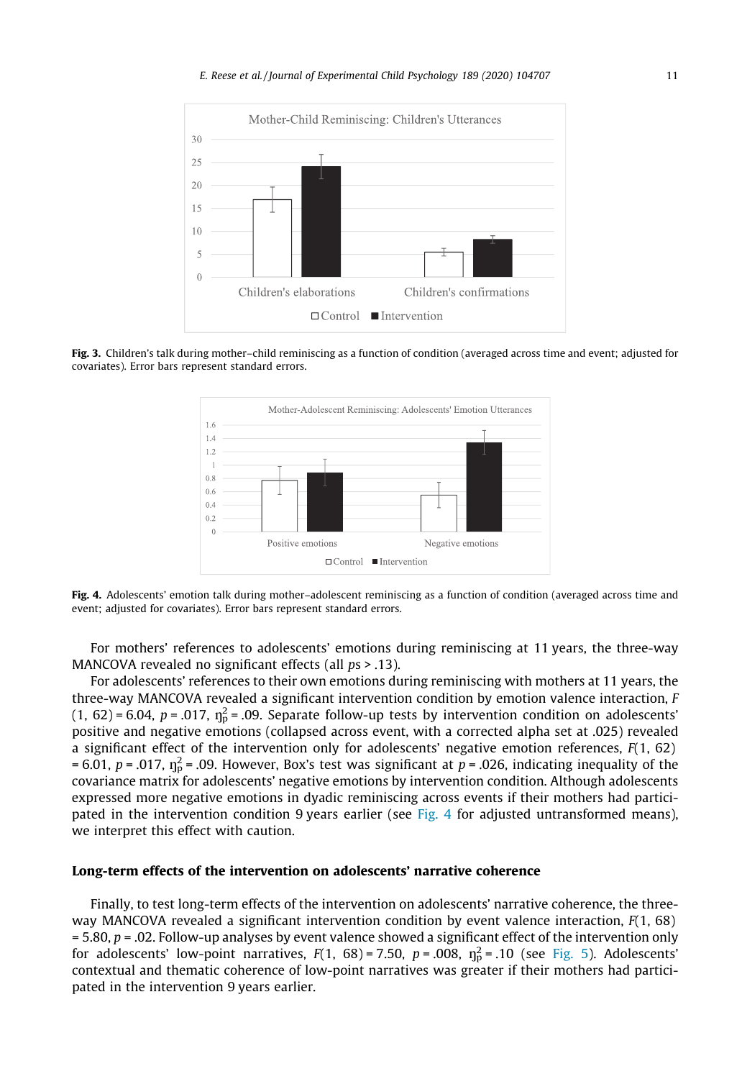<span id="page-10-0"></span>

Fig. 3. Children's talk during mother–child reminiscing as a function of condition (averaged across time and event; adjusted for covariates). Error bars represent standard errors.



Fig. 4. Adolescents' emotion talk during mother-adolescent reminiscing as a function of condition (averaged across time and event; adjusted for covariates). Error bars represent standard errors.

For mothers' references to adolescents' emotions during reminiscing at 11 years, the three-way MANCOVA revealed no significant effects (all  $ps > .13$ ).

For adolescents' references to their own emotions during reminiscing with mothers at 11 years, the three-way MANCOVA revealed a significant intervention condition by emotion valence interaction, F (1, 62) = 6.04, p = .017,  $\eta_p^2$  = .09. Separate follow-up tests by intervention condition on adolescents' positive and negative emotions (collapsed across event, with a corrected alpha set at .025) revealed a significant effect of the intervention only for adolescents' negative emotion references,  $F(1, 62)$ = 6.01, p = .017,  $\eta_p^2$  = .09. However, Box's test was significant at p = .026, indicating inequality of the covariance matrix for adolescents' negative emotions by intervention condition. Although adolescents expressed more negative emotions in dyadic reminiscing across events if their mothers had participated in the intervention condition 9 years earlier (see Fig. 4 for adjusted untransformed means), we interpret this effect with caution.

# Long-term effects of the intervention on adolescents' narrative coherence

Finally, to test long-term effects of the intervention on adolescents' narrative coherence, the threeway MANCOVA revealed a significant intervention condition by event valence interaction, F(1, 68)  $= 5.80$ ,  $p = 0.02$ . Follow-up analyses by event valence showed a significant effect of the intervention only for adolescents' low-point narratives,  $F(1, 68) = 7.50$ ,  $p = .008$ ,  $\eta_p^2 = .10$  (see [Fig. 5](#page-11-0)). Adolescents' contextual and thematic coherence of low-point narratives was greater if their mothers had participated in the intervention 9 years earlier.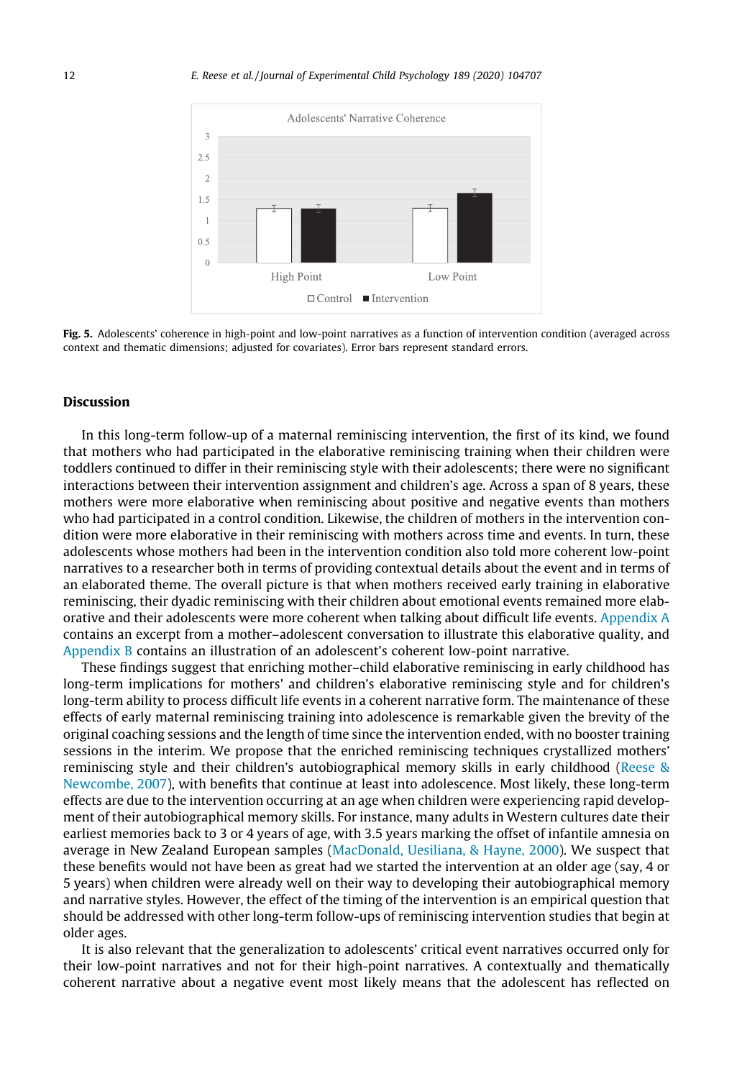<span id="page-11-0"></span>

Fig. 5. Adolescents' coherence in high-point and low-point narratives as a function of intervention condition (averaged across context and thematic dimensions; adjusted for covariates). Error bars represent standard errors.

# Discussion

In this long-term follow-up of a maternal reminiscing intervention, the first of its kind, we found that mothers who had participated in the elaborative reminiscing training when their children were toddlers continued to differ in their reminiscing style with their adolescents; there were no significant interactions between their intervention assignment and children's age. Across a span of 8 years, these mothers were more elaborative when reminiscing about positive and negative events than mothers who had participated in a control condition. Likewise, the children of mothers in the intervention condition were more elaborative in their reminiscing with mothers across time and events. In turn, these adolescents whose mothers had been in the intervention condition also told more coherent low-point narratives to a researcher both in terms of providing contextual details about the event and in terms of an elaborated theme. The overall picture is that when mothers received early training in elaborative reminiscing, their dyadic reminiscing with their children about emotional events remained more elaborative and their adolescents were more coherent when talking about difficult life events. [Appendix A](#page-13-0) contains an excerpt from a mother–adolescent conversation to illustrate this elaborative quality, and [Appendix B](#page-15-0) contains an illustration of an adolescent's coherent low-point narrative.

These findings suggest that enriching mother–child elaborative reminiscing in early childhood has long-term implications for mothers' and children's elaborative reminiscing style and for children's long-term ability to process difficult life events in a coherent narrative form. The maintenance of these effects of early maternal reminiscing training into adolescence is remarkable given the brevity of the original coaching sessions and the length of time since the intervention ended, with no booster training sessions in the interim. We propose that the enriched reminiscing techniques crystallized mothers' reminiscing style and their children's autobiographical memory skills in early childhood ([Reese &](#page-17-0) [Newcombe, 2007](#page-17-0)), with benefits that continue at least into adolescence. Most likely, these long-term effects are due to the intervention occurring at an age when children were experiencing rapid development of their autobiographical memory skills. For instance, many adults in Western cultures date their earliest memories back to 3 or 4 years of age, with 3.5 years marking the offset of infantile amnesia on average in New Zealand European samples ([MacDonald, Uesiliana, & Hayne, 2000\)](#page-16-0). We suspect that these benefits would not have been as great had we started the intervention at an older age (say, 4 or 5 years) when children were already well on their way to developing their autobiographical memory and narrative styles. However, the effect of the timing of the intervention is an empirical question that should be addressed with other long-term follow-ups of reminiscing intervention studies that begin at older ages.

It is also relevant that the generalization to adolescents' critical event narratives occurred only for their low-point narratives and not for their high-point narratives. A contextually and thematically coherent narrative about a negative event most likely means that the adolescent has reflected on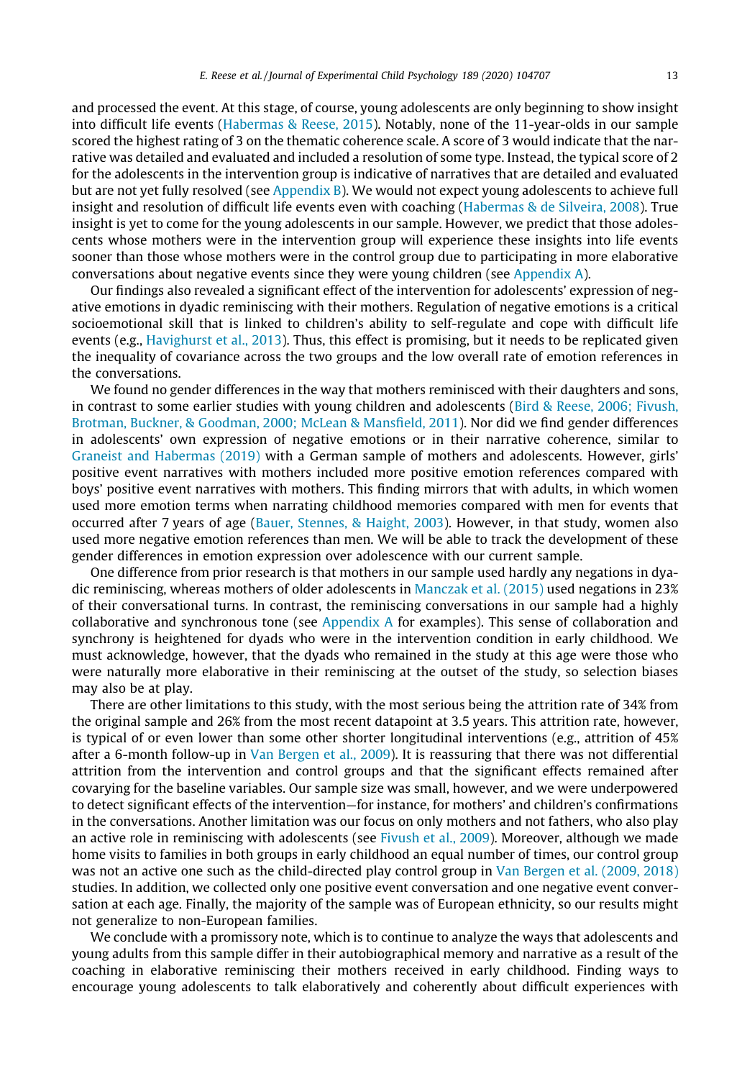and processed the event. At this stage, of course, young adolescents are only beginning to show insight into difficult life events ([Habermas & Reese, 2015](#page-16-0)). Notably, none of the 11-year-olds in our sample scored the highest rating of 3 on the thematic coherence scale. A score of 3 would indicate that the narrative was detailed and evaluated and included a resolution of some type. Instead, the typical score of 2 for the adolescents in the intervention group is indicative of narratives that are detailed and evaluated but are not yet fully resolved (see [Appendix B](#page-15-0)). We would not expect young adolescents to achieve full insight and resolution of difficult life events even with coaching [\(Habermas & de Silveira, 2008\)](#page-16-0). True insight is yet to come for the young adolescents in our sample. However, we predict that those adolescents whose mothers were in the intervention group will experience these insights into life events sooner than those whose mothers were in the control group due to participating in more elaborative conversations about negative events since they were young children (see [Appendix A\)](#page-13-0).

Our findings also revealed a significant effect of the intervention for adolescents' expression of negative emotions in dyadic reminiscing with their mothers. Regulation of negative emotions is a critical socioemotional skill that is linked to children's ability to self-regulate and cope with difficult life events (e.g., [Havighurst et al., 2013\)](#page-16-0). Thus, this effect is promising, but it needs to be replicated given the inequality of covariance across the two groups and the low overall rate of emotion references in the conversations.

We found no gender differences in the way that mothers reminisced with their daughters and sons, in contrast to some earlier studies with young children and adolescents ([Bird & Reese, 2006; Fivush,](#page-15-0) [Brotman, Buckner, & Goodman, 2000; McLean & Mansfield, 2011\)](#page-15-0). Nor did we find gender differences in adolescents' own expression of negative emotions or in their narrative coherence, similar to [Graneist and Habermas \(2019\)](#page-16-0) with a German sample of mothers and adolescents. However, girls' positive event narratives with mothers included more positive emotion references compared with boys' positive event narratives with mothers. This finding mirrors that with adults, in which women used more emotion terms when narrating childhood memories compared with men for events that occurred after 7 years of age [\(Bauer, Stennes, & Haight, 2003](#page-15-0)). However, in that study, women also used more negative emotion references than men. We will be able to track the development of these gender differences in emotion expression over adolescence with our current sample.

One difference from prior research is that mothers in our sample used hardly any negations in dyadic reminiscing, whereas mothers of older adolescents in [Manczak et al. \(2015\)](#page-16-0) used negations in 23% of their conversational turns. In contrast, the reminiscing conversations in our sample had a highly collaborative and synchronous tone (see [Appendix A](#page-13-0) for examples). This sense of collaboration and synchrony is heightened for dyads who were in the intervention condition in early childhood. We must acknowledge, however, that the dyads who remained in the study at this age were those who were naturally more elaborative in their reminiscing at the outset of the study, so selection biases may also be at play.

There are other limitations to this study, with the most serious being the attrition rate of 34% from the original sample and 26% from the most recent datapoint at 3.5 years. This attrition rate, however, is typical of or even lower than some other shorter longitudinal interventions (e.g., attrition of 45% after a 6-month follow-up in [Van Bergen et al., 2009](#page-17-0)). It is reassuring that there was not differential attrition from the intervention and control groups and that the significant effects remained after covarying for the baseline variables. Our sample size was small, however, and we were underpowered to detect significant effects of the intervention—for instance, for mothers' and children's confirmations in the conversations. Another limitation was our focus on only mothers and not fathers, who also play an active role in reminiscing with adolescents (see [Fivush et al., 2009\)](#page-16-0). Moreover, although we made home visits to families in both groups in early childhood an equal number of times, our control group was not an active one such as the child-directed play control group in [Van Bergen et al. \(2009, 2018\)](#page-17-0) studies. In addition, we collected only one positive event conversation and one negative event conversation at each age. Finally, the majority of the sample was of European ethnicity, so our results might not generalize to non-European families.

We conclude with a promissory note, which is to continue to analyze the ways that adolescents and young adults from this sample differ in their autobiographical memory and narrative as a result of the coaching in elaborative reminiscing their mothers received in early childhood. Finding ways to encourage young adolescents to talk elaboratively and coherently about difficult experiences with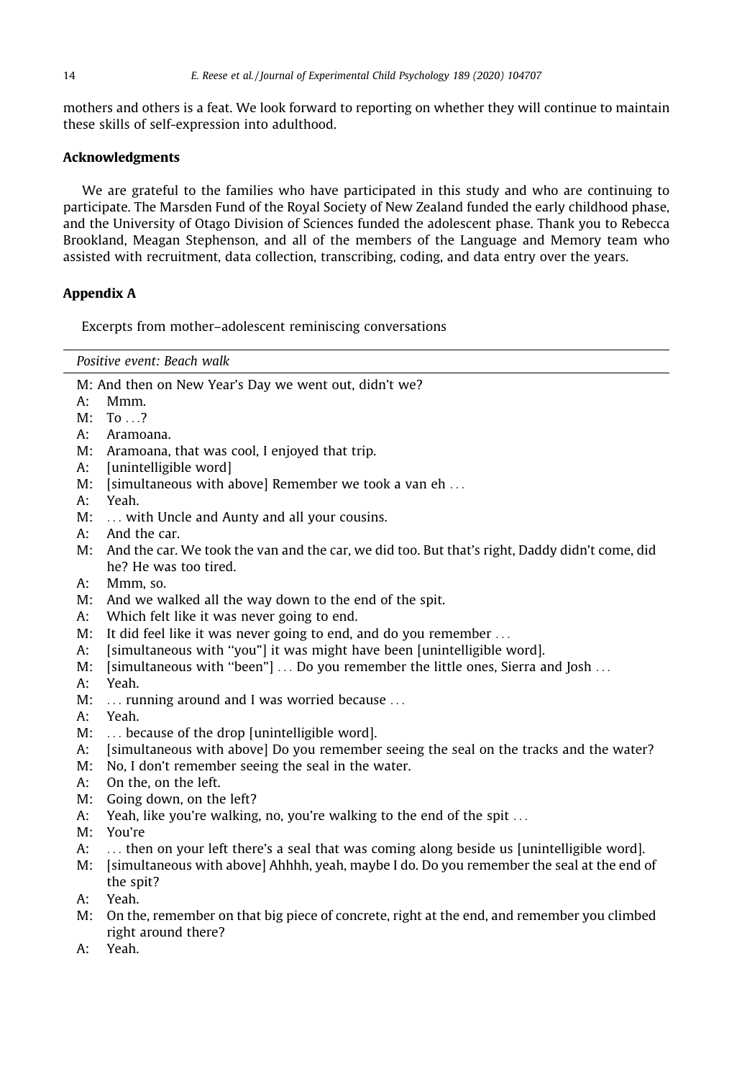<span id="page-13-0"></span>mothers and others is a feat. We look forward to reporting on whether they will continue to maintain these skills of self-expression into adulthood.

# Acknowledgments

We are grateful to the families who have participated in this study and who are continuing to participate. The Marsden Fund of the Royal Society of New Zealand funded the early childhood phase, and the University of Otago Division of Sciences funded the adolescent phase. Thank you to Rebecca Brookland, Meagan Stephenson, and all of the members of the Language and Memory team who assisted with recruitment, data collection, transcribing, coding, and data entry over the years.

# Appendix A

Excerpts from mother–adolescent reminiscing conversations

| Positive event: Beach walk                                                                           |  |
|------------------------------------------------------------------------------------------------------|--|
| M: And then on New Year's Day we went out, didn't we?                                                |  |
| Mmm.<br>A:                                                                                           |  |
| M:<br>$To \ldots$ ?                                                                                  |  |
| Aramoana.<br>A:                                                                                      |  |
| M: Aramoana, that was cool, I enjoyed that trip.                                                     |  |
| [unintelligible word]<br>A:                                                                          |  |
| [simultaneous with above] Remember we took a van eh<br>M:                                            |  |
| $A$ :<br>Yeah.                                                                                       |  |
| M:<br>with Uncle and Aunty and all your cousins.                                                     |  |
| A:<br>And the car.                                                                                   |  |
| And the car. We took the van and the car, we did too. But that's right, Daddy didn't come, did<br>M: |  |
| he? He was too tired.                                                                                |  |
| А:<br>Mmm, so.                                                                                       |  |
| M:<br>And we walked all the way down to the end of the spit.                                         |  |
| Which felt like it was never going to end.<br>A:                                                     |  |
| It did feel like it was never going to end, and do you remember<br>M:                                |  |
| [simultaneous with "you"] it was might have been [unintelligible word].<br>A:                        |  |
| [simultaneous with "been"]  Do you remember the little ones, Sierra and Josh<br>M:                   |  |
| Yeah.<br>A:                                                                                          |  |
| M:<br>running around and I was worried because                                                       |  |
| Yeah.<br>A:                                                                                          |  |
| M:<br>because of the drop [unintelligible word].                                                     |  |
| [simultaneous with above] Do you remember seeing the seal on the tracks and the water?<br>A:         |  |
| No, I don't remember seeing the seal in the water.<br>M:                                             |  |
| On the, on the left.<br>A:                                                                           |  |
| M:<br>Going down, on the left?                                                                       |  |
| A:<br>Yeah, like you're walking, no, you're walking to the end of the spit                           |  |
| You're<br>M:                                                                                         |  |
| A:<br>then on your left there's a seal that was coming along beside us [unintelligible word].        |  |
| [simultaneous with above] Ahhhh, yeah, maybe I do. Do you remember the seal at the end of<br>M:      |  |
| the spit?                                                                                            |  |
| Yeah.<br>$A$ :                                                                                       |  |
| On the, remember on that big piece of concrete, right at the end, and remember you climbed<br>M:     |  |
| right around there?                                                                                  |  |

A: Yeah.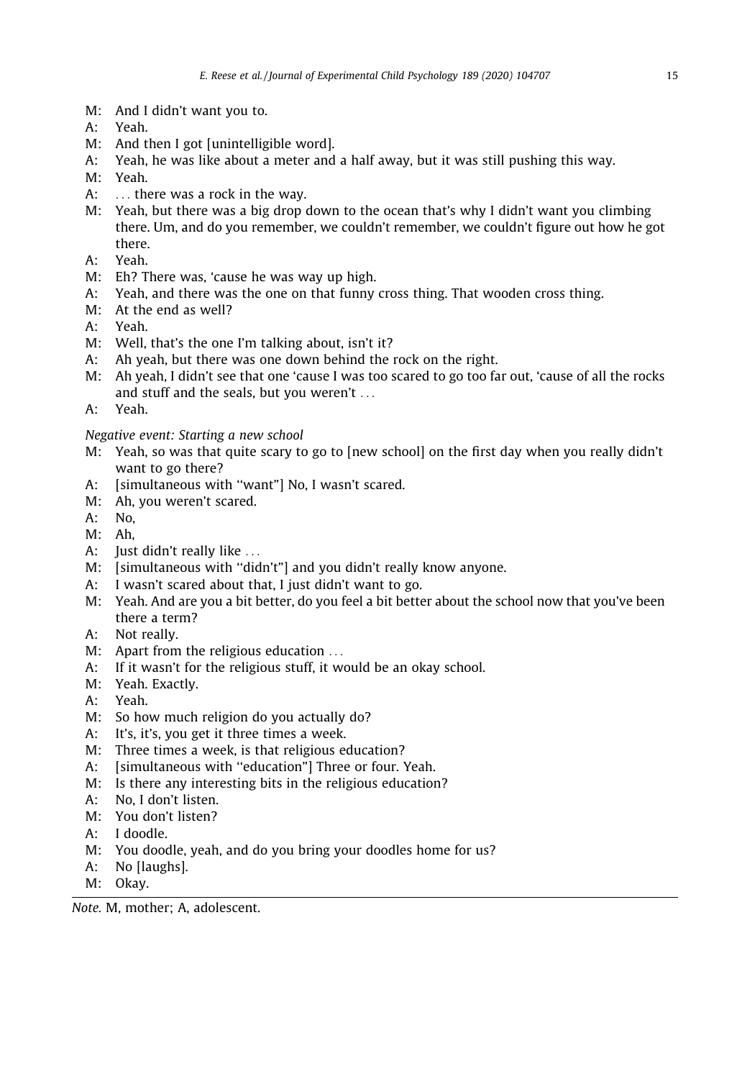- M: And I didn't want you to.
- A: Yeah.
- M: And then I got [unintelligible word].
- A: Yeah, he was like about a meter and a half away, but it was still pushing this way.
- M: Yeah.
- A: ... there was a rock in the way.
- M: Yeah, but there was a big drop down to the ocean that's why I didn't want you climbing there. Um, and do you remember, we couldn't remember, we couldn't figure out how he got there.
- A: Yeah.
- M: Eh? There was, 'cause he was way up high.
- A: Yeah, and there was the one on that funny cross thing. That wooden cross thing.
- M: At the end as well?
- A: Yeah.
- M: Well, that's the one I'm talking about, isn't it?
- A: Ah yeah, but there was one down behind the rock on the right.
- M: Ah yeah, I didn't see that one 'cause I was too scared to go too far out, 'cause of all the rocks and stuff and the seals, but you weren't ...
- A: Yeah.

# Negative event: Starting a new school

- M: Yeah, so was that quite scary to go to [new school] on the first day when you really didn't want to go there?
- A: [simultaneous with "want"] No, I wasn't scared.
- M: Ah, you weren't scared.
- A: No,
- M: Ah,
- A: Just didn't really like ...
- M: [simultaneous with "didn't"] and you didn't really know anyone.
- A: I wasn't scared about that, I just didn't want to go.
- M: Yeah. And are you a bit better, do you feel a bit better about the school now that you've been there a term?
- A: Not really.
- M: Apart from the religious education ...
- A: If it wasn't for the religious stuff, it would be an okay school.
- M: Yeah. Exactly.
- A: Yeah.
- M: So how much religion do you actually do?
- A: It's, it's, you get it three times a week.
- M: Three times a week, is that religious education?
- A: [simultaneous with "education"] Three or four. Yeah.
- M: Is there any interesting bits in the religious education?
- A: No, I don't listen.
- M: You don't listen?
- A: I doodle.
- M: You doodle, yeah, and do you bring your doodles home for us?
- A: No [laughs].
- M: Okay.

Note. M, mother; A, adolescent.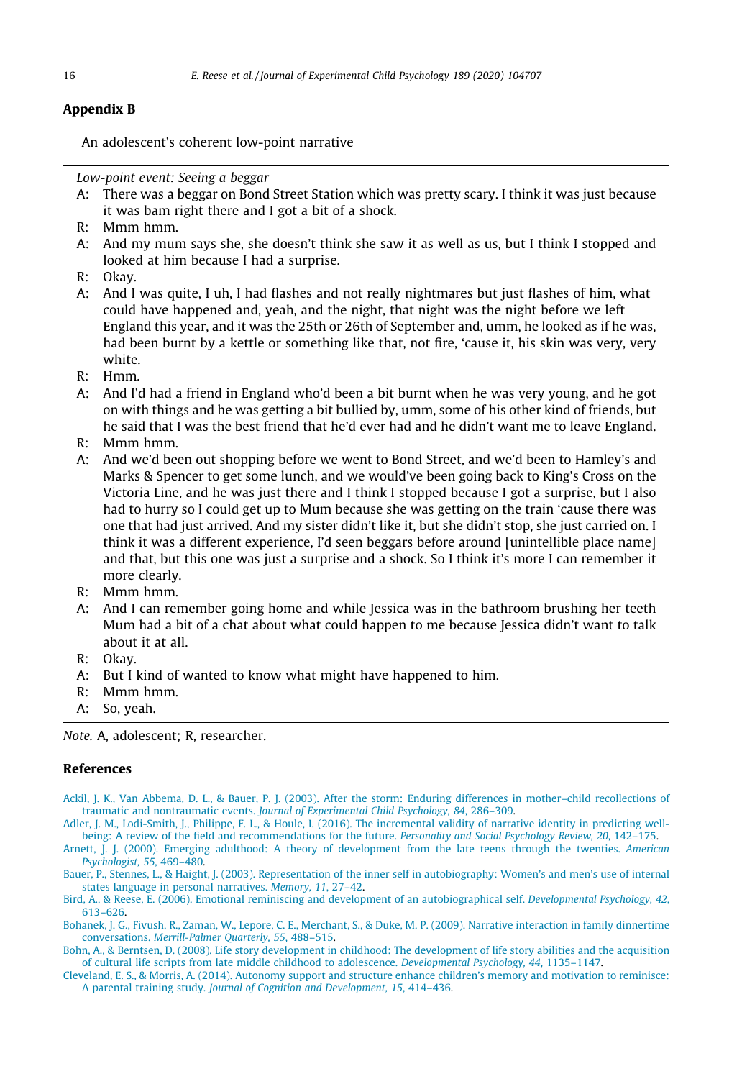# <span id="page-15-0"></span>Appendix B

An adolescent's coherent low-point narrative

Low-point event: Seeing a beggar

- A: There was a beggar on Bond Street Station which was pretty scary. I think it was just because it was bam right there and I got a bit of a shock.
- R: Mmm hmm.
- A: And my mum says she, she doesn't think she saw it as well as us, but I think I stopped and looked at him because I had a surprise.
- R: Okay.
- A: And I was quite, I uh, I had flashes and not really nightmares but just flashes of him, what could have happened and, yeah, and the night, that night was the night before we left England this year, and it was the 25th or 26th of September and, umm, he looked as if he was, had been burnt by a kettle or something like that, not fire, 'cause it, his skin was very, very white.
- R: Hmm.
- A: And I'd had a friend in England who'd been a bit burnt when he was very young, and he got on with things and he was getting a bit bullied by, umm, some of his other kind of friends, but he said that I was the best friend that he'd ever had and he didn't want me to leave England.
- R: Mmm hmm.
- A: And we'd been out shopping before we went to Bond Street, and we'd been to Hamley's and Marks & Spencer to get some lunch, and we would've been going back to King's Cross on the Victoria Line, and he was just there and I think I stopped because I got a surprise, but I also had to hurry so I could get up to Mum because she was getting on the train 'cause there was one that had just arrived. And my sister didn't like it, but she didn't stop, she just carried on. I think it was a different experience, I'd seen beggars before around [unintellible place name] and that, but this one was just a surprise and a shock. So I think it's more I can remember it more clearly.
- R: Mmm hmm.
- A: And I can remember going home and while Jessica was in the bathroom brushing her teeth Mum had a bit of a chat about what could happen to me because Jessica didn't want to talk about it at all.
- R: Okay.
- A: But I kind of wanted to know what might have happened to him.
- R: Mmm hmm.
- A: So, yeah.

Note. A, adolescent; R, researcher.

# References

[Ackil, J. K., Van Abbema, D. L., & Bauer, P. J. \(2003\). After the storm: Enduring differences in mother–child recollections of](http://refhub.elsevier.com/S0022-0965(19)30166-3/h0005) traumatic and nontraumatic events. [Journal of Experimental Child Psychology, 84](http://refhub.elsevier.com/S0022-0965(19)30166-3/h0005), 286–309.

[Adler, J. M., Lodi-Smith, J., Philippe, F. L., & Houle, I. \(2016\). The incremental validity of narrative identity in predicting well](http://refhub.elsevier.com/S0022-0965(19)30166-3/h0010)[being: A review of the field and recommendations for the future.](http://refhub.elsevier.com/S0022-0965(19)30166-3/h0010) Personality and Social Psychology Review, 20, 142–175.

[Arnett, J. J. \(2000\). Emerging adulthood: A theory of development from the late teens through the twenties.](http://refhub.elsevier.com/S0022-0965(19)30166-3/h0015) American [Psychologist, 55](http://refhub.elsevier.com/S0022-0965(19)30166-3/h0015), 469–480.

[Bauer, P., Stennes, L., & Haight, J. \(2003\). Representation of the inner self in autobiography: Women's and men's use of internal](http://refhub.elsevier.com/S0022-0965(19)30166-3/h0020) [states language in personal narratives.](http://refhub.elsevier.com/S0022-0965(19)30166-3/h0020) Memory, 11, 27–42.

[Bird, A., & Reese, E. \(2006\). Emotional reminiscing and development of an autobiographical self.](http://refhub.elsevier.com/S0022-0965(19)30166-3/h0025) Developmental Psychology, 42, [613–626.](http://refhub.elsevier.com/S0022-0965(19)30166-3/h0025)

- [Bohanek, J. G., Fivush, R., Zaman, W., Lepore, C. E., Merchant, S., & Duke, M. P. \(2009\). Narrative interaction in family dinnertime](http://refhub.elsevier.com/S0022-0965(19)30166-3/h0030) conversations. [Merrill-Palmer Quarterly, 55](http://refhub.elsevier.com/S0022-0965(19)30166-3/h0030), 488–515.
- [Bohn, A., & Berntsen, D. \(2008\). Life story development in childhood: The development of life story abilities and the acquisition](http://refhub.elsevier.com/S0022-0965(19)30166-3/h0035) [of cultural life scripts from late middle childhood to adolescence.](http://refhub.elsevier.com/S0022-0965(19)30166-3/h0035) Developmental Psychology, 44, 1135–1147.

[Cleveland, E. S., & Morris, A. \(2014\). Autonomy support and structure enhance children's memory and motivation to reminisce:](http://refhub.elsevier.com/S0022-0965(19)30166-3/h0040) A parental training study. [Journal of Cognition and Development, 15](http://refhub.elsevier.com/S0022-0965(19)30166-3/h0040), 414–436.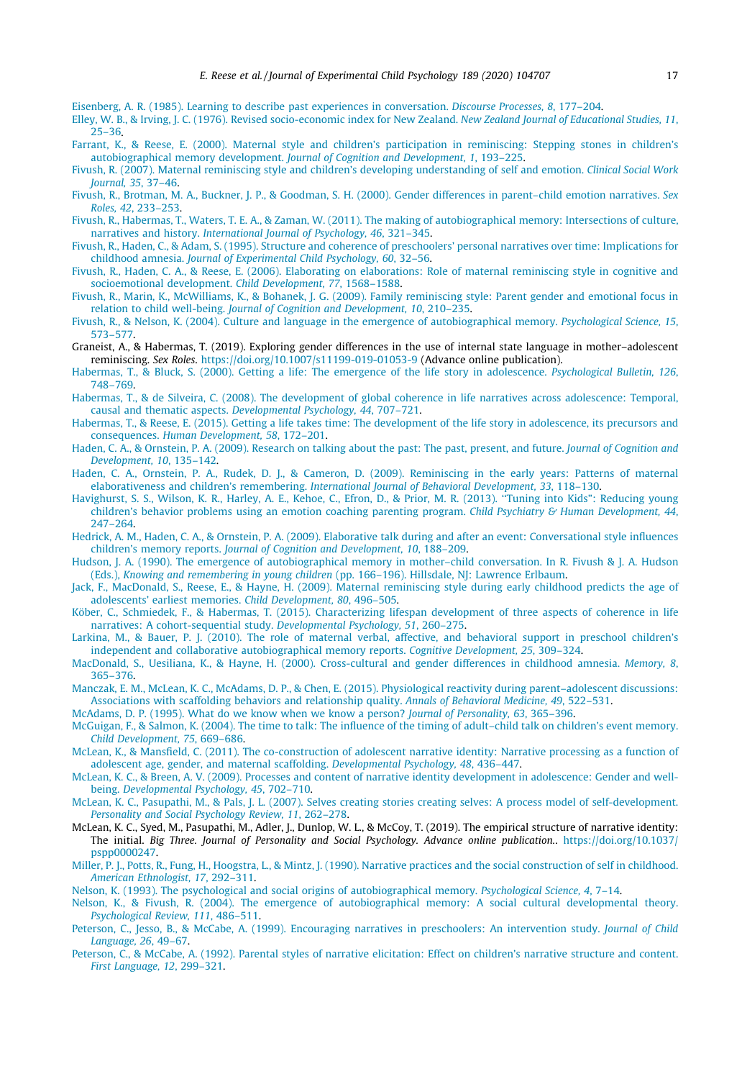<span id="page-16-0"></span>[Eisenberg, A. R. \(1985\). Learning to describe past experiences in conversation.](http://refhub.elsevier.com/S0022-0965(19)30166-3/h0045) Discourse Processes, 8, 177–204.

- [Elley, W. B., & Irving, J. C. \(1976\). Revised socio-economic index for New Zealand.](http://refhub.elsevier.com/S0022-0965(19)30166-3/h0050) New Zealand Journal of Educational Studies, 11,  $25 - 36$
- [Farrant, K., & Reese, E. \(2000\). Maternal style and children's participation in reminiscing: Stepping stones in children's](http://refhub.elsevier.com/S0022-0965(19)30166-3/h0055) [autobiographical memory development.](http://refhub.elsevier.com/S0022-0965(19)30166-3/h0055) Journal of Cognition and Development, 1, 193–225.
- [Fivush, R. \(2007\). Maternal reminiscing style and children's developing understanding of self and emotion.](http://refhub.elsevier.com/S0022-0965(19)30166-3/h0060) Clinical Social Work [Journal, 35](http://refhub.elsevier.com/S0022-0965(19)30166-3/h0060), 37–46.
- [Fivush, R., Brotman, M. A., Buckner, J. P., & Goodman, S. H. \(2000\). Gender differences in parent–child emotion narratives.](http://refhub.elsevier.com/S0022-0965(19)30166-3/h0065) Sex Roles, 42[, 233–253](http://refhub.elsevier.com/S0022-0965(19)30166-3/h0065).
- [Fivush, R., Habermas, T., Waters, T. E. A., & Zaman, W. \(2011\). The making of autobiographical memory: Intersections of culture,](http://refhub.elsevier.com/S0022-0965(19)30166-3/h0070) narratives and history. [International Journal of Psychology, 46](http://refhub.elsevier.com/S0022-0965(19)30166-3/h0070), 321–345.
- [Fivush, R., Haden, C., & Adam, S. \(1995\). Structure and coherence of preschoolers' personal narratives over time: Implications for](http://refhub.elsevier.com/S0022-0965(19)30166-3/h0075) childhood amnesia. [Journal of Experimental Child Psychology, 60](http://refhub.elsevier.com/S0022-0965(19)30166-3/h0075), 32–56.
- [Fivush, R., Haden, C. A., & Reese, E. \(2006\). Elaborating on elaborations: Role of maternal reminiscing style in cognitive and](http://refhub.elsevier.com/S0022-0965(19)30166-3/h0080) [socioemotional development.](http://refhub.elsevier.com/S0022-0965(19)30166-3/h0080) Child Development, 77, 1568–1588.
- [Fivush, R., Marin, K., McWilliams, K., & Bohanek, J. G. \(2009\). Family reminiscing style: Parent gender and emotional focus in](http://refhub.elsevier.com/S0022-0965(19)30166-3/h0085) relation to child well-being. [Journal of Cognition and Development, 10](http://refhub.elsevier.com/S0022-0965(19)30166-3/h0085), 210–235.
- [Fivush, R., & Nelson, K. \(2004\). Culture and language in the emergence of autobiographical memory.](http://refhub.elsevier.com/S0022-0965(19)30166-3/h0090) Psychological Science, 15, [573–577](http://refhub.elsevier.com/S0022-0965(19)30166-3/h0090).
- Graneist, A., & Habermas, T. (2019). Exploring gender differences in the use of internal state language in mother–adolescent reminiscing. Sex Roles. <https://doi.org/10.1007/s11199-019-01053-9> (Advance online publication).
- [Habermas, T., & Bluck, S. \(2000\). Getting a life: The emergence of the life story in adolescence.](http://refhub.elsevier.com/S0022-0965(19)30166-3/h0100) Psychological Bulletin, 126, [748–769](http://refhub.elsevier.com/S0022-0965(19)30166-3/h0100).
- [Habermas, T., & de Silveira, C. \(2008\). The development of global coherence in life narratives across adolescence: Temporal,](http://refhub.elsevier.com/S0022-0965(19)30166-3/h0105) causal and thematic aspects. [Developmental Psychology, 44](http://refhub.elsevier.com/S0022-0965(19)30166-3/h0105), 707–721.
- [Habermas, T., & Reese, E. \(2015\). Getting a life takes time: The development of the life story in adolescence, its precursors and](http://refhub.elsevier.com/S0022-0965(19)30166-3/h0110) consequences. [Human Development, 58](http://refhub.elsevier.com/S0022-0965(19)30166-3/h0110), 172–201.
- [Haden, C. A., & Ornstein, P. A. \(2009\). Research on talking about the past: The past, present, and future.](http://refhub.elsevier.com/S0022-0965(19)30166-3/h0115) Journal of Cognition and [Development, 10](http://refhub.elsevier.com/S0022-0965(19)30166-3/h0115), 135–142.
- [Haden, C. A., Ornstein, P. A., Rudek, D. J., & Cameron, D. \(2009\). Reminiscing in the early years: Patterns of maternal](http://refhub.elsevier.com/S0022-0965(19)30166-3/h0120) elaborativeness and children's remembering. [International Journal of Behavioral Development, 33](http://refhub.elsevier.com/S0022-0965(19)30166-3/h0120), 118–130.
- [Havighurst, S. S., Wilson, K. R., Harley, A. E., Kehoe, C., Efron, D., & Prior, M. R. \(2013\). ''Tuning into Kids": Reducing young](http://refhub.elsevier.com/S0022-0965(19)30166-3/h0125) [children's behavior problems using an emotion coaching parenting program.](http://refhub.elsevier.com/S0022-0965(19)30166-3/h0125) Child Psychiatry & Human Development,  $44$ , [247–264](http://refhub.elsevier.com/S0022-0965(19)30166-3/h0125).
- [Hedrick, A. M., Haden, C. A., & Ornstein, P. A. \(2009\). Elaborative talk during and after an event: Conversational style influences](http://refhub.elsevier.com/S0022-0965(19)30166-3/h0130) children's memory reports. [Journal of Cognition and Development, 10](http://refhub.elsevier.com/S0022-0965(19)30166-3/h0130), 188–209.
- [Hudson, J. A. \(1990\). The emergence of autobiographical memory in mother–child conversation. In R. Fivush & J. A. Hudson](http://refhub.elsevier.com/S0022-0965(19)30166-3/h0135) (Eds.), Knowing and remembering in young children [\(pp. 166–196\). Hillsdale, NJ: Lawrence Erlbaum.](http://refhub.elsevier.com/S0022-0965(19)30166-3/h0135)
- [Jack, F., MacDonald, S., Reese, E., & Hayne, H. \(2009\). Maternal reminiscing style during early childhood predicts the age of](http://refhub.elsevier.com/S0022-0965(19)30166-3/h0140) [adolescents' earliest memories.](http://refhub.elsevier.com/S0022-0965(19)30166-3/h0140) Child Development, 80, 496–505.
- [Köber, C., Schmiedek, F., & Habermas, T. \(2015\). Characterizing lifespan development of three aspects of coherence in life](http://refhub.elsevier.com/S0022-0965(19)30166-3/h0145) [narratives: A cohort-sequential study.](http://refhub.elsevier.com/S0022-0965(19)30166-3/h0145) Developmental Psychology, 51, 260–275.
- [Larkina, M., & Bauer, P. J. \(2010\). The role of maternal verbal, affective, and behavioral support in preschool children's](http://refhub.elsevier.com/S0022-0965(19)30166-3/h0150) [independent and collaborative autobiographical memory reports.](http://refhub.elsevier.com/S0022-0965(19)30166-3/h0150) Cognitive Development, 25, 309–324.
- [MacDonald, S., Uesiliana, K., & Hayne, H. \(2000\). Cross-cultural and gender differences in childhood amnesia.](http://refhub.elsevier.com/S0022-0965(19)30166-3/h0155) Memory, 8, [365–376](http://refhub.elsevier.com/S0022-0965(19)30166-3/h0155).
- [Manczak, E. M., McLean, K. C., McAdams, D. P., & Chen, E. \(2015\). Physiological reactivity during parent–adolescent discussions:](http://refhub.elsevier.com/S0022-0965(19)30166-3/h0160) [Associations with scaffolding behaviors and relationship quality.](http://refhub.elsevier.com/S0022-0965(19)30166-3/h0160) Annals of Behavioral Medicine, 49, 522–531.
- [McAdams, D. P. \(1995\). What do we know when we know a person?](http://refhub.elsevier.com/S0022-0965(19)30166-3/h0165) Journal of Personality, 63, 365–396.
- [McGuigan, F., & Salmon, K. \(2004\). The time to talk: The influence of the timing of adult–child talk on children's event memory.](http://refhub.elsevier.com/S0022-0965(19)30166-3/h0170) [Child Development, 75](http://refhub.elsevier.com/S0022-0965(19)30166-3/h0170), 669–686.
- [McLean, K., & Mansfield, C. \(2011\). The co-construction of adolescent narrative identity: Narrative processing as a function of](http://refhub.elsevier.com/S0022-0965(19)30166-3/h0175) [adolescent age, gender, and maternal scaffolding.](http://refhub.elsevier.com/S0022-0965(19)30166-3/h0175) Developmental Psychology, 48, 436–447.
- [McLean, K. C., & Breen, A. V. \(2009\). Processes and content of narrative identity development in adolescence: Gender and well](http://refhub.elsevier.com/S0022-0965(19)30166-3/h0180)being. [Developmental Psychology, 45](http://refhub.elsevier.com/S0022-0965(19)30166-3/h0180), 702–710.
- [McLean, K. C., Pasupathi, M., & Pals, J. L. \(2007\). Selves creating stories creating selves: A process model of self-development.](http://refhub.elsevier.com/S0022-0965(19)30166-3/h0185) [Personality and Social Psychology Review, 11](http://refhub.elsevier.com/S0022-0965(19)30166-3/h0185), 262–278.
- McLean, K. C., Syed, M., Pasupathi, M., Adler, J., Dunlop, W. L., & McCoy, T. (2019). The empirical structure of narrative identity: The initial. Big Three. Journal of Personality and Social Psychology. Advance online publication.. [https://doi.org/10.1037/](https://doi.org/10.1037/pspp0000247) [pspp0000247](https://doi.org/10.1037/pspp0000247).
- [Miller, P. J., Potts, R., Fung, H., Hoogstra, L., & Mintz, J. \(1990\). Narrative practices and the social construction of self in childhood.](http://refhub.elsevier.com/S0022-0965(19)30166-3/h0195) [American Ethnologist, 17](http://refhub.elsevier.com/S0022-0965(19)30166-3/h0195), 292–311.
- [Nelson, K. \(1993\). The psychological and social origins of autobiographical memory.](http://refhub.elsevier.com/S0022-0965(19)30166-3/h0200) Psychological Science, 4, 7–14.
- [Nelson, K., & Fivush, R. \(2004\). The emergence of autobiographical memory: A social cultural developmental theory.](http://refhub.elsevier.com/S0022-0965(19)30166-3/h0205) [Psychological Review, 111](http://refhub.elsevier.com/S0022-0965(19)30166-3/h0205), 486–511.
- [Peterson, C., Jesso, B., & McCabe, A. \(1999\). Encouraging narratives in preschoolers: An intervention study.](http://refhub.elsevier.com/S0022-0965(19)30166-3/h0210) Journal of Child [Language, 26](http://refhub.elsevier.com/S0022-0965(19)30166-3/h0210), 49–67.
- [Peterson, C., & McCabe, A. \(1992\). Parental styles of narrative elicitation: Effect on children's narrative structure and content.](http://refhub.elsevier.com/S0022-0965(19)30166-3/h0215) [First Language, 12](http://refhub.elsevier.com/S0022-0965(19)30166-3/h0215), 299–321.